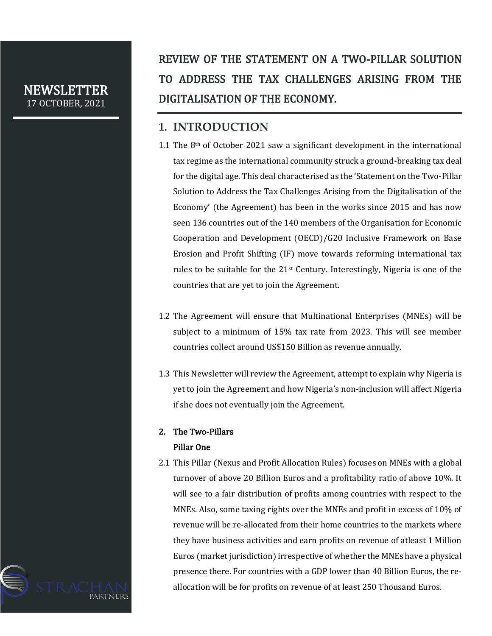## NEWSLETTER 17 OCTOBER, 2021

# REVIEW OF THE STATEMENT ON A TWO-PILLAR SOLUTION TO ADDRESS THE TAX CHALLENGES ARISING FROM THE DIGITALISATION OF THE ECONOMY.

# **1. INTRODUCTION**

- 1.1 The 8th of October 2021 saw a significant development in the international tax regime as the international community struck a ground-breaking tax deal for the digital age. This deal characterised as the 'Statement on the Two-Pillar Solution to Address the Tax Challenges Arising from the Digitalisation of the Economy' (the Agreement) has been in the works since 2015 and has now seen 136 countries out of the 140 members of the Organisation for Economic Cooperation and Development (OECD)/G20 Inclusive Framework on Base Erosion and Profit Shifting (IF) move towards reforming international tax rules to be suitable for the 21st Century. Interestingly, Nigeria is one of the countries that are yet to join the Agreement.
- 1.2 The Agreement will ensure that Multinational Enterprises (MNEs) will be subject to a minimum of 15% tax rate from 2023. This will see member countries collect around US\$150 Billion as revenue annually.
- 1.3 This Newsletter will review the Agreement, attempt to explain why Nigeria is yet to join the Agreement and how Nigeria's non-inclusion will affect Nigeria if she does not eventually join the Agreement.

# 2. The Two-Pillars

## Pillar One

2.1 This Pillar (Nexus and Profit Allocation Rules) focuses on MNEs with a global turnover of above 20 Billion Euros and a profitability ratio of above 10%. It will see to a fair distribution of profits among countries with respect to the MNEs. Also, some taxing rights over the MNEs and profit in excess of 10% of revenue will be re-allocated from their home countries to the markets where they have business activities and earn profits on revenue of atleast 1 Million Euros (market jurisdiction) irrespective of whether the MNEs have a physical presence there. For countries with a GDP lower than 40 Billion Euros, the reallocation will be for profits on revenue of at least 250 Thousand Euros.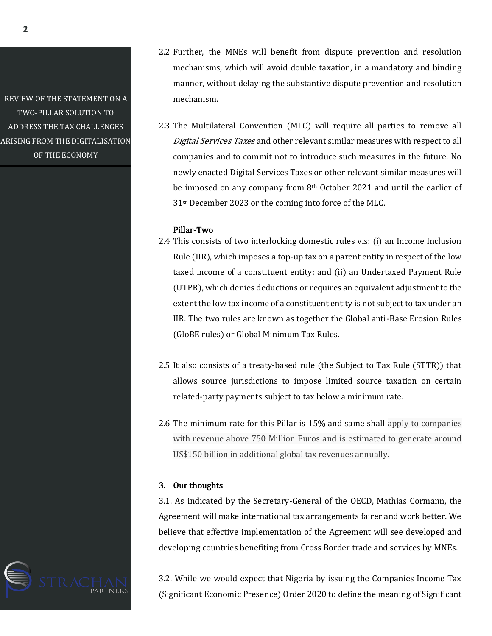REVIEW OF THE STATEMENT ON A TWO-PILLAR SOLUTION TO ADDRESS THE TAX CHALLENGES ARISING FROM THE DIGITALISATION OF THE ECONOMY

- 2.2 Further, the MNEs will benefit from dispute prevention and resolution mechanisms, which will avoid double taxation, in a mandatory and binding manner, without delaying the substantive dispute prevention and resolution mechanism.
- 2.3 The Multilateral Convention (MLC) will require all parties to remove all Digital Services Taxes and other relevant similar measures with respect to all companies and to commit not to introduce such measures in the future. No newly enacted Digital Services Taxes or other relevant similar measures will be imposed on any company from 8th October 2021 and until the earlier of 31st December 2023 or the coming into force of the MLC.

### Pillar-Two

- 2.4 This consists of two interlocking domestic rules vis: (i) an Income Inclusion Rule (IIR), which imposes a top-up tax on a parent entity in respect of the low taxed income of a constituent entity; and (ii) an Undertaxed Payment Rule (UTPR), which denies deductions or requires an equivalent adjustment to the extent the low tax income of a constituent entity is not subject to tax under an IIR. The two rules are known as together the Global anti-Base Erosion Rules (GloBE rules) or Global Minimum Tax Rules.
- 2.5 It also consists of a treaty-based rule (the Subject to Tax Rule (STTR)) that allows source jurisdictions to impose limited source taxation on certain related-party payments subject to tax below a minimum rate.
- 2.6 The minimum rate for this Pillar is 15% and same shall apply to companies with revenue above 750 Million Euros and is estimated to generate around US\$150 billion in additional global tax revenues annually.

#### 3. Our thoughts

3.1. As indicated by the Secretary-General of the OECD, Mathias Cormann, the Agreement will make international tax arrangements fairer and work better. We believe that effective implementation of the Agreement will see developed and developing countries benefiting from Cross Border trade and services by MNEs.

3.2. While we would expect that Nigeria by issuing the Companies Income Tax (Significant Economic Presence) Order 2020 to define the meaning of Significant